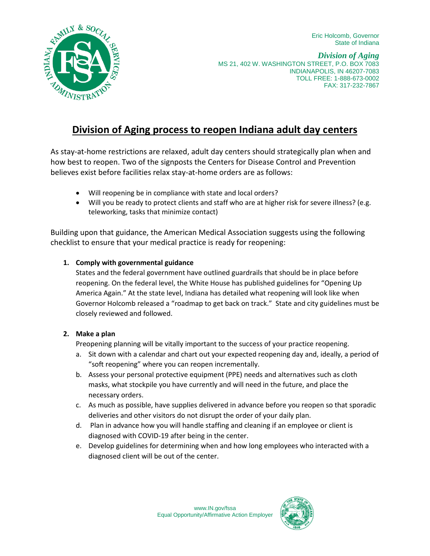Eric Holcomb, Governor State of Indiana



*Division of Aging* MS 21, 402 W. WASHINGTON STREET, P.O. BOX 7083 INDIANAPOLIS, IN 46207-7083 TOLL FREE: 1-888-673-0002 FAX: 317-232-7867

# **Division of Aging process to reopen Indiana adult day centers**

As stay-at-home restrictions are relaxed, adult day centers should strategically plan when and how best to reopen. Two of the signposts the Centers for Disease Control and Prevention believes exist before facilities relax stay-at-home orders are as follows:

- Will reopening be in compliance with state and local orders?
- Will you be ready to protect clients and staff who are at higher risk for severe illness? (e.g. teleworking, tasks that minimize contact)

Building upon that guidance, the American Medical Association suggests using the following checklist to ensure that your medical practice is ready for reopening:

## **1. Comply with governmental guidance**

States and the federal government have outlined guardrails that should be in place before reopening. On the federal level, the White House has published guidelines for "Opening Up America Again." At the state level, Indiana has detailed what reopening will look like when Governor Holcomb released a "roadmap to get back on track." State and city guidelines must be closely reviewed and followed.

#### **2. Make a plan**

Preopening planning will be vitally important to the success of your practice reopening.

- a. Sit down with a calendar and chart out your expected reopening day and, ideally, a period of "soft reopening" where you can reopen incrementally.
- b. Assess your personal protective equipment (PPE) needs and alternatives such as cloth masks, what stockpile you have currently and will need in the future, and place the necessary orders.
- c. As much as possible, have supplies delivered in advance before you reopen so that sporadic deliveries and other visitors do not disrupt the order of your daily plan.
- d. Plan in advance how you will handle staffing and cleaning if an employee or client is diagnosed with COVID-19 after being in the center.
- e. Develop guidelines for determining when and how long employees who interacted with a diagnosed client will be out of the center.

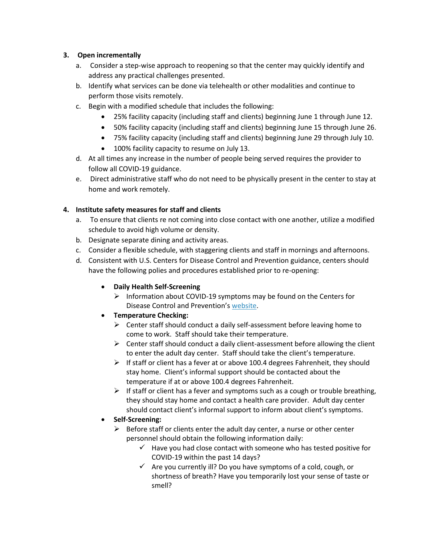#### **3. Open incrementally**

- a. Consider a step-wise approach to reopening so that the center may quickly identify and address any practical challenges presented.
- b. Identify what services can be done via telehealth or other modalities and continue to perform those visits remotely.
- c. Begin with a modified schedule that includes the following:
	- 25% facility capacity (including staff and clients) beginning June 1 through June 12.
	- 50% facility capacity (including staff and clients) beginning June 15 through June 26.
	- 75% facility capacity (including staff and clients) beginning June 29 through July 10.
	- 100% facility capacity to resume on July 13.
- d. At all times any increase in the number of people being served requires the provider to follow all COVID-19 guidance.
- e. Direct administrative staff who do not need to be physically present in the center to stay at home and work remotely.

#### **4. Institute safety measures for staff and clients**

- a. To ensure that clients re not coming into close contact with one another, utilize a modified schedule to avoid high volume or density.
- b. Designate separate dining and activity areas.
- c. Consider a flexible schedule, with staggering clients and staff in mornings and afternoons.
- d. Consistent with U.S. Centers for Disease Control and Prevention guidance, centers should have the following polies and procedures established prior to re-opening:
	- **Daily Health Self-Screening**
		- $\triangleright$  Information about COVID-19 symptoms may be found on the Centers for Disease Control and Prevention's [website.](https://lnks.gd/l/eyJhbGciOiJIUzI1NiJ9.eyJidWxsZXRpbl9saW5rX2lkIjoxMDEsInVyaSI6ImJwMjpjbGljayIsImJ1bGxldGluX2lkIjoiMjAyMDA1MDcuMjEyMDg5MDEiLCJ1cmwiOiJodHRwczovL3d3dy5jZGMuZ292L2Nvcm9uYXZpcnVzLzIwMTktbmNvdi9zeW1wdG9tcy10ZXN0aW5nL3N5bXB0b21zLmh0bWwifQ.rAkwK06jbJvZ2eqPbGz2AZ2xCHI0HvO-20zxPj9EkhA/br/78387814588-l)
	- **Temperature Checking:**
		- $\triangleright$  Center staff should conduct a daily self-assessment before leaving home to come to work. Staff should take their temperature.
		- $\triangleright$  Center staff should conduct a daily client-assessment before allowing the client to enter the adult day center. Staff should take the client's temperature.
		- $\triangleright$  If staff or client has a fever at or above 100.4 degrees Fahrenheit, they should stay home. Client's informal support should be contacted about the temperature if at or above 100.4 degrees Fahrenheit.
		- $\triangleright$  If staff or client has a fever and symptoms such as a cough or trouble breathing, they should stay home and contact a health care provider. Adult day center should contact client's informal support to inform about client's symptoms.
	- **Self-Screening:**
		- $\triangleright$  Before staff or clients enter the adult day center, a nurse or other center personnel should obtain the following information daily:
			- $\checkmark$  Have you had close contact with someone who has tested positive for COVID-19 within the past 14 days?
			- $\checkmark$  Are you currently ill? Do you have symptoms of a cold, cough, or shortness of breath? Have you temporarily lost your sense of taste or smell?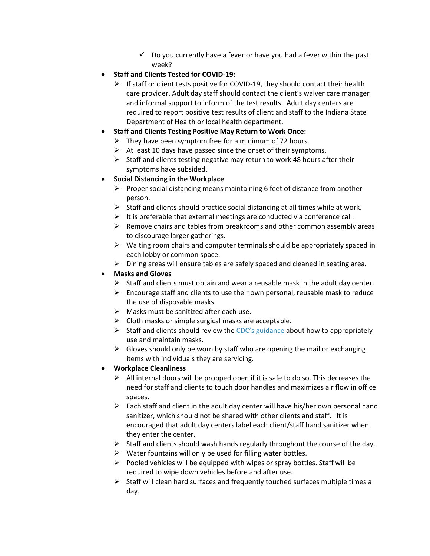- $\checkmark$  Do you currently have a fever or have you had a fever within the past week?
- **Staff and Clients Tested for COVID-19:**
	- $\triangleright$  If staff or client tests positive for COVID-19, they should contact their health care provider. Adult day staff should contact the client's waiver care manager and informal support to inform of the test results. Adult day centers are required to report positive test results of client and staff to the Indiana State Department of Health or local health department.
- **Staff and Clients Testing Positive May Return to Work Once:**
	- $\triangleright$  They have been symptom free for a minimum of 72 hours.
	- $\triangleright$  At least 10 days have passed since the onset of their symptoms.
	- $\triangleright$  Staff and clients testing negative may return to work 48 hours after their symptoms have subsided.

## **Social Distancing in the Workplace**

- $\triangleright$  Proper social distancing means maintaining 6 feet of distance from another person.
- $\triangleright$  Staff and clients should practice social distancing at all times while at work.
- $\triangleright$  It is preferable that external meetings are conducted via conference call.
- $\triangleright$  Remove chairs and tables from breakrooms and other common assembly areas to discourage larger gatherings.
- $\triangleright$  Waiting room chairs and computer terminals should be appropriately spaced in each lobby or common space.
- $\triangleright$  Dining areas will ensure tables are safely spaced and cleaned in seating area.
- **Masks and Gloves**
	- $\triangleright$  Staff and clients must obtain and wear a reusable mask in the adult day center.
	- $\triangleright$  Encourage staff and clients to use their own personal, reusable mask to reduce the use of disposable masks.
	- $\triangleright$  Masks must be sanitized after each use.
	- $\triangleright$  Cloth masks or simple surgical masks are acceptable.
	- $\triangleright$  Staff and clients should review the [CDC's guidance](https://lnks.gd/l/eyJhbGciOiJIUzI1NiJ9.eyJidWxsZXRpbl9saW5rX2lkIjoxMDMsInVyaSI6ImJwMjpjbGljayIsImJ1bGxldGluX2lkIjoiMjAyMDA1MDcuMjEyMDg5MDEiLCJ1cmwiOiJodHRwczovL3d3dy5jZGMuZ292L2Nvcm9uYXZpcnVzLzIwMTktbmNvdi9wcmV2ZW50LWdldHRpbmctc2ljay9kaXktY2xvdGgtZmFjZS1jb3ZlcmluZ3MuaHRtbCJ9.BvXzWY90fLIY2GiR-uY5QXHAxKVd2Y9MfgjrxW4dieE/br/78387814588-l) about how to appropriately use and maintain masks.
	- $\triangleright$  Gloves should only be worn by staff who are opening the mail or exchanging items with individuals they are servicing.

# **Workplace Cleanliness**

- $\triangleright$  All internal doors will be propped open if it is safe to do so. This decreases the need for staff and clients to touch door handles and maximizes air flow in office spaces.
- $\triangleright$  Each staff and client in the adult day center will have his/her own personal hand sanitizer, which should not be shared with other clients and staff. It is encouraged that adult day centers label each client/staff hand sanitizer when they enter the center.
- $\triangleright$  Staff and clients should wash hands regularly throughout the course of the day.
- $\triangleright$  Water fountains will only be used for filling water bottles.
- $\triangleright$  Pooled vehicles will be equipped with wipes or spray bottles. Staff will be required to wipe down vehicles before and after use.
- $\triangleright$  Staff will clean hard surfaces and frequently touched surfaces multiple times a day.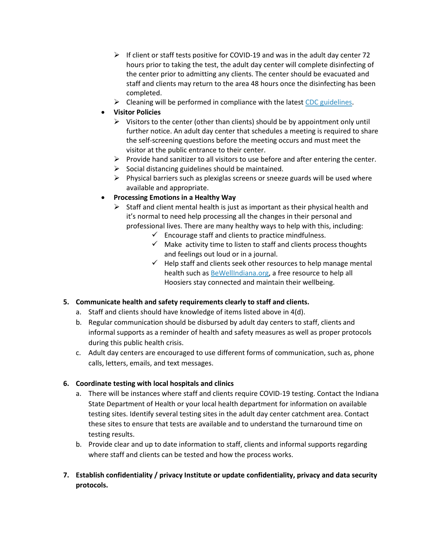- $\triangleright$  If client or staff tests positive for COVID-19 and was in the adult day center 72 hours prior to taking the test, the adult day center will complete disinfecting of the center prior to admitting any clients. The center should be evacuated and staff and clients may return to the area 48 hours once the disinfecting has been completed.
- $\triangleright$  Cleaning will be performed in compliance with the latest [CDC guidelines.](https://lnks.gd/l/eyJhbGciOiJIUzI1NiJ9.eyJidWxsZXRpbl9saW5rX2lkIjoxMDQsInVyaSI6ImJwMjpjbGljayIsImJ1bGxldGluX2lkIjoiMjAyMDA1MDcuMjEyMDg5MDEiLCJ1cmwiOiJodHRwczovL3d3dy5jZGMuZ292L2Nvcm9uYXZpcnVzLzIwMTktbmNvdi9jb21tdW5pdHkvZGlzaW5mZWN0aW5nLWJ1aWxkaW5nLWZhY2lsaXR5Lmh0bWwifQ.X1dMfZtrC29balWepjG1Qlte-kIviQRt5XUNJc9p2fw/br/78387814588-l)
- **Visitor Policies**
	- $\triangleright$  Visitors to the center (other than clients) should be by appointment only until further notice. An adult day center that schedules a meeting is required to share the self-screening questions before the meeting occurs and must meet the visitor at the public entrance to their center.
	- $\triangleright$  Provide hand sanitizer to all visitors to use before and after entering the center.
	- $\triangleright$  Social distancing guidelines should be maintained.
	- $\triangleright$  Physical barriers such as plexiglas screens or sneeze guards will be used where available and appropriate.
- **Processing Emotions in a Healthy Way**
	- $\triangleright$  Staff and client mental health is just as important as their physical health and it's normal to need help processing all the changes in their personal and professional lives. There are many healthy ways to help with this, including:
		- $\checkmark$  Encourage staff and clients to practice mindfulness.
		- $\checkmark$  Make activity time to listen to staff and clients process thoughts and feelings out loud or in a journal.
		- $\checkmark$  Help staff and clients seek other resources to help manage mental health such as [BeWellIndiana.org,](https://lnks.gd/l/eyJhbGciOiJIUzI1NiJ9.eyJidWxsZXRpbl9saW5rX2lkIjoxMDcsInVyaSI6ImJwMjpjbGljayIsImJ1bGxldGluX2lkIjoiMjAyMDA1MDcuMjEyMDg5MDEiLCJ1cmwiOiJodHRwczovL2Jld2VsbGluZGlhbmEub3JnIn0.jrwiLBKaUYKs3bGq0IyXAs5cG_s1Swl2z6xB74fqblA/br/78387814588-l) a free resource to help all Hoosiers stay connected and maintain their wellbeing.

# **5. Communicate health and safety requirements clearly to staff and clients.**

- a. Staff and clients should have knowledge of items listed above in 4(d).
- b. Regular communication should be disbursed by adult day centers to staff, clients and informal supports as a reminder of health and safety measures as well as proper protocols during this public health crisis.
- c. Adult day centers are encouraged to use different forms of communication, such as, phone calls, letters, emails, and text messages.

#### **6. Coordinate testing with local hospitals and clinics**

- a. There will be instances where staff and clients require COVID-19 testing. Contact the Indiana State Department of Health or your local health department for information on available testing sites. Identify several testing sites in the adult day center catchment area. Contact these sites to ensure that tests are available and to understand the turnaround time on testing results.
- b. Provide clear and up to date information to staff, clients and informal supports regarding where staff and clients can be tested and how the process works.
- **7. Establish confidentiality / privacy Institute or update confidentiality, privacy and data security protocols.**